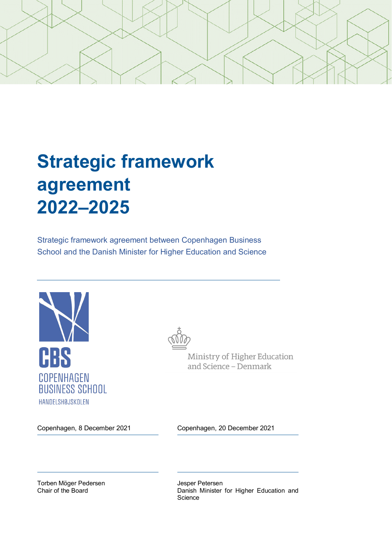

# **Strategic framework agreement 2022–2025**

Strategic framework agreement between Copenhagen Business School and the Danish Minister for Higher Education and Science





Ministry of Higher Education and Science - Denmark

Copenhagen, 8 December 2021 Copenhagen, 20 December 2021

Torben Möger Pedersen Chair of the Board

Jesper Petersen Danish Minister for Higher Education and **Science**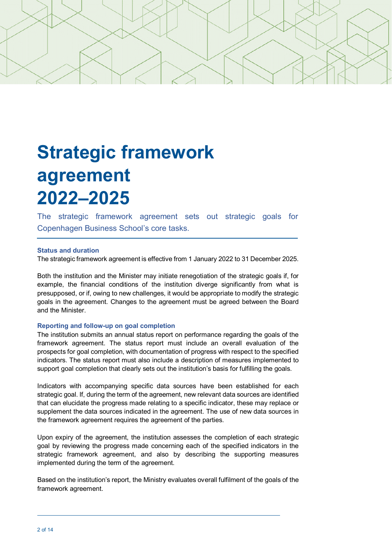

# **Strategic framework agreement 2022–2025**

The strategic framework agreement sets out strategic goals for Copenhagen Business School's core tasks.

## **Status and duration**

The strategic framework agreement is effective from 1 January 2022 to 31 December 2025.

Both the institution and the Minister may initiate renegotiation of the strategic goals if, for example, the financial conditions of the institution diverge significantly from what is presupposed, or if, owing to new challenges, it would be appropriate to modify the strategic goals in the agreement. Changes to the agreement must be agreed between the Board and the Minister.

#### **Reporting and follow-up on goal completion**

The institution submits an annual status report on performance regarding the goals of the framework agreement. The status report must include an overall evaluation of the prospects for goal completion, with documentation of progress with respect to the specified indicators. The status report must also include a description of measures implemented to support goal completion that clearly sets out the institution's basis for fulfilling the goals.

Indicators with accompanying specific data sources have been established for each strategic goal. If, during the term of the agreement, new relevant data sources are identified that can elucidate the progress made relating to a specific indicator, these may replace or supplement the data sources indicated in the agreement. The use of new data sources in the framework agreement requires the agreement of the parties.

Upon expiry of the agreement, the institution assesses the completion of each strategic goal by reviewing the progress made concerning each of the specified indicators in the strategic framework agreement, and also by describing the supporting measures implemented during the term of the agreement.

Based on the institution's report, the Ministry evaluates overall fulfilment of the goals of the framework agreement.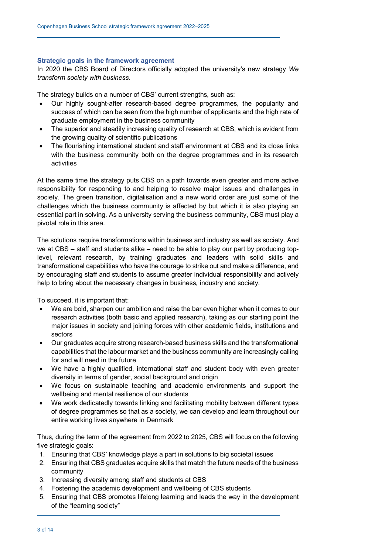## **Strategic goals in the framework agreement**

In 2020 the CBS Board of Directors officially adopted the university's new strategy *We transform society with business*.

The strategy builds on a number of CBS' current strengths, such as:

- Our highly sought-after research-based degree programmes, the popularity and success of which can be seen from the high number of applicants and the high rate of graduate employment in the business community
- The superior and steadily increasing quality of research at CBS, which is evident from the growing quality of scientific publications
- The flourishing international student and staff environment at CBS and its close links with the business community both on the degree programmes and in its research activities

At the same time the strategy puts CBS on a path towards even greater and more active responsibility for responding to and helping to resolve major issues and challenges in society. The green transition, digitalisation and a new world order are just some of the challenges which the business community is affected by but which it is also playing an essential part in solving. As a university serving the business community, CBS must play a pivotal role in this area.

The solutions require transformations within business and industry as well as society. And we at CBS – staff and students alike – need to be able to play our part by producing toplevel, relevant research, by training graduates and leaders with solid skills and transformational capabilities who have the courage to strike out and make a difference, and by encouraging staff and students to assume greater individual responsibility and actively help to bring about the necessary changes in business, industry and society.

To succeed, it is important that:

- We are bold, sharpen our ambition and raise the bar even higher when it comes to our research activities (both basic and applied research), taking as our starting point the major issues in society and joining forces with other academic fields, institutions and sectors
- Our graduates acquire strong research-based business skills and the transformational capabilities that the labour market and the business community are increasingly calling for and will need in the future
- We have a highly qualified, international staff and student body with even greater diversity in terms of gender, social background and origin
- We focus on sustainable teaching and academic environments and support the wellbeing and mental resilience of our students
- We work dedicatedly towards linking and facilitating mobility between different types of degree programmes so that as a society, we can develop and learn throughout our entire working lives anywhere in Denmark

Thus, during the term of the agreement from 2022 to 2025, CBS will focus on the following five strategic goals:

- 1. Ensuring that CBS' knowledge plays a part in solutions to big societal issues
- 2. Ensuring that CBS graduates acquire skills that match the future needs of the business community
- 3. Increasing diversity among staff and students at CBS
- 4. Fostering the academic development and wellbeing of CBS students
- 5. Ensuring that CBS promotes lifelong learning and leads the way in the development of the "learning society"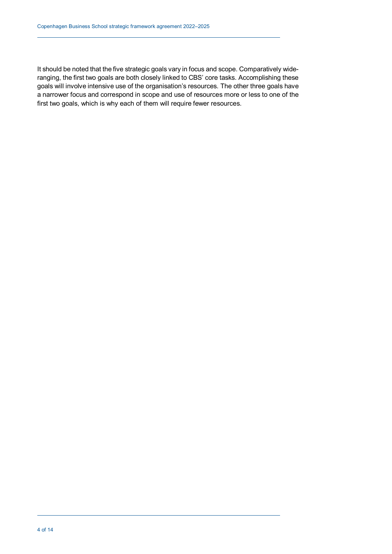It should be noted that the five strategic goals vary in focus and scope. Comparatively wideranging, the first two goals are both closely linked to CBS' core tasks. Accomplishing these goals will involve intensive use of the organisation's resources. The other three goals have a narrower focus and correspond in scope and use of resources more or less to one of the first two goals, which is why each of them will require fewer resources.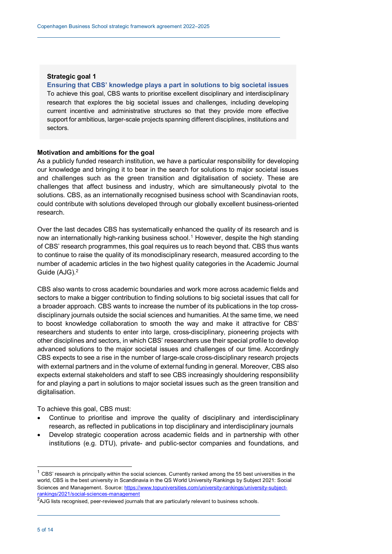#### **Ensuring that CBS' knowledge plays a part in solutions to big societal issues**

To achieve this goal, CBS wants to prioritise excellent disciplinary and interdisciplinary research that explores the big societal issues and challenges, including developing current incentive and administrative structures so that they provide more effective support for ambitious, larger-scale projects spanning different disciplines, institutions and sectors.

#### **Motivation and ambitions for the goal**

As a publicly funded research institution, we have a particular responsibility for developing our knowledge and bringing it to bear in the search for solutions to major societal issues and challenges such as the green transition and digitalisation of society. These are challenges that affect business and industry, which are simultaneously pivotal to the solutions. CBS, as an internationally recognised business school with Scandinavian roots, could contribute with solutions developed through our globally excellent business-oriented research.

Over the last decades CBS has systematically enhanced the quality of its research and is now an internationally high-ranking business school. [1](#page-4-0) However, despite the high standing of CBS' research programmes, this goal requires us to reach beyond that. CBS thus wants to continue to raise the quality of its monodisciplinary research, measured according to the number of academic articles in the two highest quality categories in the Academic Journal Guide (AJG). [2](#page-4-1)

CBS also wants to cross academic boundaries and work more across academic fields and sectors to make a bigger contribution to finding solutions to big societal issues that call for a broader approach. CBS wants to increase the number of its publications in the top crossdisciplinary journals outside the social sciences and humanities. At the same time, we need to boost knowledge collaboration to smooth the way and make it attractive for CBS' researchers and students to enter into large, cross-disciplinary, pioneering projects with other disciplines and sectors, in which CBS' researchers use their special profile to develop advanced solutions to the major societal issues and challenges of our time. Accordingly CBS expects to see a rise in the number of large-scale cross-disciplinary research projects with external partners and in the volume of external funding in general. Moreover, CBS also expects external stakeholders and staff to see CBS increasingly shouldering responsibility for and playing a part in solutions to major societal issues such as the green transition and digitalisation.

To achieve this goal, CBS must:

- Continue to prioritise and improve the quality of disciplinary and interdisciplinary research, as reflected in publications in top disciplinary and interdisciplinary journals
- Develop strategic cooperation across academic fields and in partnership with other institutions (e.g. DTU), private- and public-sector companies and foundations, and

<span id="page-4-0"></span> $1$  CBS' research is principally within the social sciences. Currently ranked among the 55 best universities in the world, CBS is the best university in Scandinavia in the QS World University Rankings by Subject 2021: Social Sciences and Management. Source: https://www.topuniversities.com/university-rankings/university-subjectrankings/2021/social-sciences-management

<span id="page-4-1"></span><sup>&</sup>lt;sup>2</sup>AJG lists recognised, peer-reviewed journals that are particularly relevant to business schools.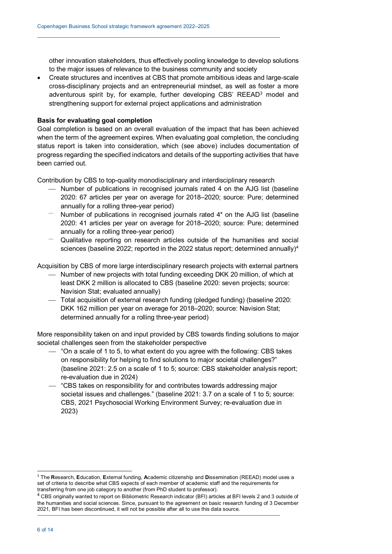other innovation stakeholders, thus effectively pooling knowledge to develop solutions to the major issues of relevance to the business community and society

• Create structures and incentives at CBS that promote ambitious ideas and large-scale cross-disciplinary projects and an entrepreneurial mindset, as well as foster a more adventurous spirit by, for example, further developing CBS'  $REEAD<sup>3</sup>$  $REEAD<sup>3</sup>$  $REEAD<sup>3</sup>$  model and strengthening support for external project applications and administration

## **Basis for evaluating goal completion**

Goal completion is based on an overall evaluation of the impact that has been achieved when the term of the agreement expires. When evaluating goal completion, the concluding status report is taken into consideration, which (see above) includes documentation of progress regarding the specified indicators and details of the supporting activities that have been carried out.

Contribution by CBS to top-quality monodisciplinary and interdisciplinary research

- Number of publications in recognised journals rated 4 on the AJG list (baseline 2020: 67 articles per year on average for 2018–2020; source: Pure; determined annually for a rolling three-year period)
- Number of publications in recognised journals rated 4\* on the AJG list (baseline 2020: 41 articles per year on average for 2018–2020; source: Pure; determined annually for a rolling three-year period)
- Qualitative reporting on research articles outside of the humanities and social sciences (baseline 2022; reported in the 2022 status report; determined annually) [4](#page-5-1)

Acquisition by CBS of more large interdisciplinary research projects with external partners

- Number of new projects with total funding exceeding DKK 20 million, of which at least DKK 2 million is allocated to CBS (baseline 2020: seven projects; source: Navision Stat; evaluated annually)
- Total acquisition of external research funding (pledged funding) (baseline 2020: DKK 162 million per year on average for 2018–2020; source: Navision Stat; determined annually for a rolling three-year period)

More responsibility taken on and input provided by CBS towards finding solutions to major societal challenges seen from the stakeholder perspective

- "On a scale of 1 to 5, to what extent do you agree with the following: CBS takes on responsibility for helping to find solutions to major societal challenges?" (baseline 2021: 2.5 on a scale of 1 to 5; source: CBS stakeholder analysis report; re-evaluation due in 2024)
- "CBS takes on responsibility for and contributes towards addressing major societal issues and challenges." (baseline 2021: 3.7 on a scale of 1 to 5; source: CBS, 2021 Psychosocial Working Environment Survey; re-evaluation due in 2023)

<span id="page-5-0"></span> <sup>3</sup> The **R**esearch, **E**ducation, **E**xternal funding, **A**cademic citizenship and **D**issemination (REEAD) model uses a set of criteria to describe what CBS expects of each member of academic staff and the requirements for transferring from one job category to another (from PhD student to professor).

<span id="page-5-1"></span><sup>4</sup> CBS originally wanted to report on Bibliometric Research indicator (BFI) articles at BFI levels 2 and 3 outside of the humanities and social sciences. Since, pursuant to the agreement on basic research funding of 3 December 2021, BFI has been discontinued, it will not be possible after all to use this data source.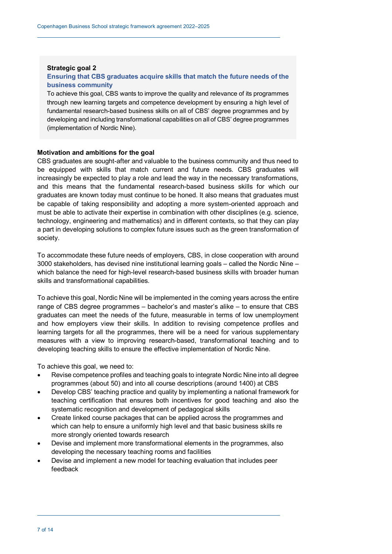# **Strategic goal 2 Ensuring that CBS graduates acquire skills that match the future needs of the business community**

To achieve this goal, CBS wants to improve the quality and relevance of its programmes through new learning targets and competence development by ensuring a high level of fundamental research-based business skills on all of CBS' degree programmes and by developing and including transformational capabilities on all of CBS' degree programmes (implementation of Nordic Nine).

#### **Motivation and ambitions for the goal**

CBS graduates are sought-after and valuable to the business community and thus need to be equipped with skills that match current and future needs. CBS graduates will increasingly be expected to play a role and lead the way in the necessary transformations, and this means that the fundamental research-based business skills for which our graduates are known today must continue to be honed. It also means that graduates must be capable of taking responsibility and adopting a more system-oriented approach and must be able to activate their expertise in combination with other disciplines (e.g. science, technology, engineering and mathematics) and in different contexts, so that they can play a part in developing solutions to complex future issues such as the green transformation of society.

To accommodate these future needs of employers, CBS, in close cooperation with around 3000 stakeholders, has devised nine institutional learning goals – called the Nordic Nine *–* which balance the need for high-level research-based business skills with broader human skills and transformational capabilities.

To achieve this goal, Nordic Nine will be implemented in the coming years across the entire range of CBS degree programmes – bachelor's and master's alike – to ensure that CBS graduates can meet the needs of the future, measurable in terms of low unemployment and how employers view their skills. In addition to revising competence profiles and learning targets for all the programmes, there will be a need for various supplementary measures with a view to improving research-based, transformational teaching and to developing teaching skills to ensure the effective implementation of Nordic Nine.

- Revise competence profiles and teaching goals to integrate Nordic Nine into all degree programmes (about 50) and into all course descriptions (around 1400) at CBS
- Develop CBS' teaching practice and quality by implementing a national framework for teaching certification that ensures both incentives for good teaching and also the systematic recognition and development of pedagogical skills
- Create linked course packages that can be applied across the programmes and which can help to ensure a uniformly high level and that basic business skills re more strongly oriented towards research
- Devise and implement more transformational elements in the programmes, also developing the necessary teaching rooms and facilities
- Devise and implement a new model for teaching evaluation that includes peer feedback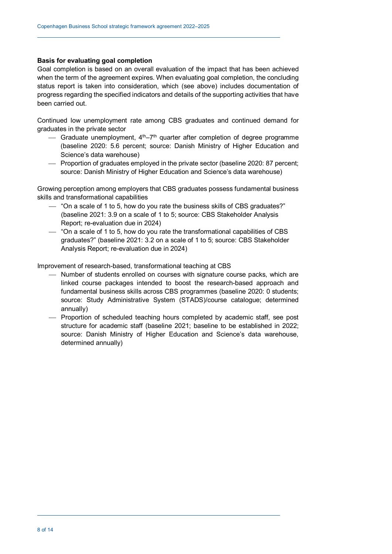Goal completion is based on an overall evaluation of the impact that has been achieved when the term of the agreement expires. When evaluating goal completion, the concluding status report is taken into consideration, which (see above) includes documentation of progress regarding the specified indicators and details of the supporting activities that have been carried out.

Continued low unemployment rate among CBS graduates and continued demand for graduates in the private sector

- $\overline{ }$  Graduate unemployment, 4<sup>th</sup>–7<sup>th</sup> quarter after completion of degree programme (baseline 2020: 5.6 percent; source: Danish Ministry of Higher Education and Science's data warehouse)
- Proportion of graduates employed in the private sector (baseline 2020: 87 percent; source: Danish Ministry of Higher Education and Science's data warehouse)

Growing perception among employers that CBS graduates possess fundamental business skills and transformational capabilities

- $-$  "On a scale of 1 to 5, how do you rate the business skills of CBS graduates?" (baseline 2021: 3.9 on a scale of 1 to 5; source: CBS Stakeholder Analysis Report; re-evaluation due in 2024)
- "On a scale of 1 to 5, how do you rate the transformational capabilities of CBS graduates?" (baseline 2021: 3.2 on a scale of 1 to 5; source: CBS Stakeholder Analysis Report; re-evaluation due in 2024)

Improvement of research-based, transformational teaching at CBS

- Number of students enrolled on courses with signature course packs, which are linked course packages intended to boost the research-based approach and fundamental business skills across CBS programmes (baseline 2020: 0 students; source: Study Administrative System (STADS)/course catalogue; determined annually)
- Proportion of scheduled teaching hours completed by academic staff, see post structure for academic staff (baseline 2021; baseline to be established in 2022; source: Danish Ministry of Higher Education and Science's data warehouse, determined annually)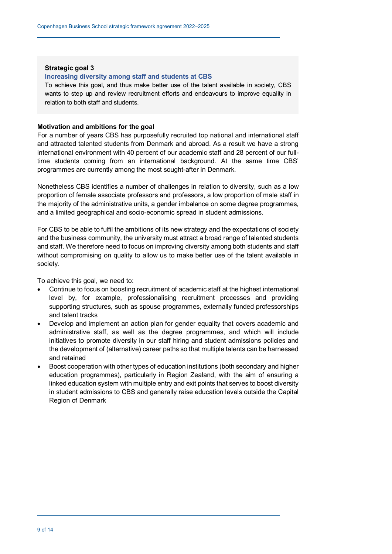#### **Increasing diversity among staff and students at CBS**

To achieve this goal, and thus make better use of the talent available in society, CBS wants to step up and review recruitment efforts and endeavours to improve equality in relation to both staff and students.

#### **Motivation and ambitions for the goal**

For a number of years CBS has purposefully recruited top national and international staff and attracted talented students from Denmark and abroad. As a result we have a strong international environment with 40 percent of our academic staff and 28 percent of our fulltime students coming from an international background. At the same time CBS' programmes are currently among the most sought-after in Denmark.

Nonetheless CBS identifies a number of challenges in relation to diversity, such as a low proportion of female associate professors and professors, a low proportion of male staff in the majority of the administrative units, a gender imbalance on some degree programmes, and a limited geographical and socio-economic spread in student admissions.

For CBS to be able to fulfil the ambitions of its new strategy and the expectations of society and the business community, the university must attract a broad range of talented students and staff. We therefore need to focus on improving diversity among both students and staff without compromising on quality to allow us to make better use of the talent available in society.

- Continue to focus on boosting recruitment of academic staff at the highest international level by, for example, professionalising recruitment processes and providing supporting structures, such as spouse programmes, externally funded professorships and talent tracks
- Develop and implement an action plan for gender equality that covers academic and administrative staff, as well as the degree programmes, and which will include initiatives to promote diversity in our staff hiring and student admissions policies and the development of (alternative) career paths so that multiple talents can be harnessed and retained
- Boost cooperation with other types of education institutions (both secondary and higher education programmes), particularly in Region Zealand, with the aim of ensuring a linked education system with multiple entry and exit points that serves to boost diversity in student admissions to CBS and generally raise education levels outside the Capital Region of Denmark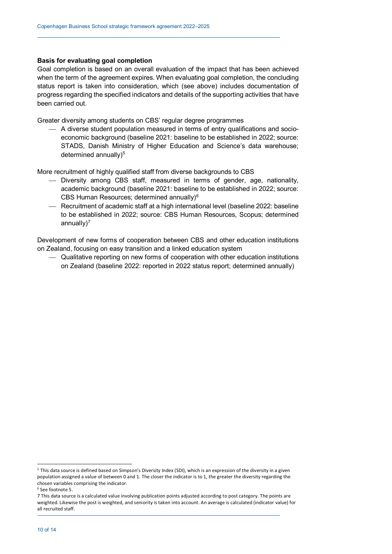Goal completion is based on an overall evaluation of the impact that has been achieved when the term of the agreement expires. When evaluating goal completion, the concluding status report is taken into consideration, which (see above) includes documentation of progress regarding the specified indicators and details of the supporting activities that have been carried out.

Greater diversity among students on CBS' regular degree programmes

 A diverse student population measured in terms of entry qualifications and socioeconomic background (baseline 2021: baseline to be established in 2022; source: STADS, Danish Ministry of Higher Education and Science's data warehouse; determined annually) [5](#page-9-0)

More recruitment of highly qualified staff from diverse backgrounds to CBS

- Diversity among CBS staff, measured in terms of gender, age, nationality, academic background (baseline 2021: baseline to be established in 2022; source: CBS Human Resources; determined annually)[6](#page-9-1)
- Recruitment of academic staff at a high international level (baseline 2022: baseline to be established in 2022; source: CBS Human Resources, Scopus; determined annually $)^7$  $)^7$

Development of new forms of cooperation between CBS and other education institutions on Zealand, focusing on easy transition and a linked education system

 Qualitative reporting on new forms of cooperation with other education institutions on Zealand (baseline 2022: reported in 2022 status report; determined annually)

j

<span id="page-9-0"></span><sup>5</sup> This data source is defined based on Simpson's Diversity Index (SDI), which is an expression of the diversity in a given population assigned a value of between 0 and 1. The closer the indicator is to 1, the greater the diversity regarding the chosen variables comprising the indicator.

<span id="page-9-1"></span><sup>6</sup> See footnote 5.

<span id="page-9-2"></span><sup>7</sup> This data source is a calculated value involving publication points adjusted according to post category. The points are weighted. Likewise the post is weighted, and seniority is taken into account. An average is calculated (indicator value) for all recruited staff.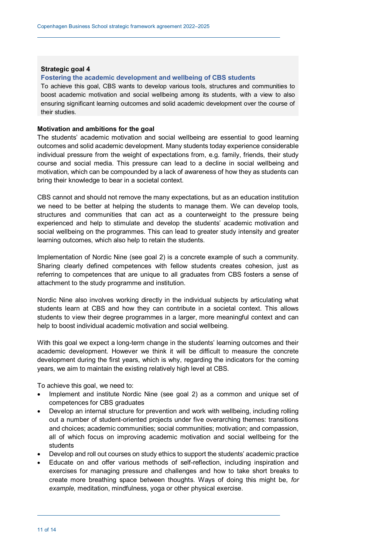#### **Fostering the academic development and wellbeing of CBS students**

To achieve this goal, CBS wants to develop various tools, structures and communities to boost academic motivation and social wellbeing among its students, with a view to also ensuring significant learning outcomes and solid academic development over the course of their studies.

#### **Motivation and ambitions for the goal**

The students' academic motivation and social wellbeing are essential to good learning outcomes and solid academic development. Many students today experience considerable individual pressure from the weight of expectations from, e.g. family, friends, their study course and social media. This pressure can lead to a decline in social wellbeing and motivation, which can be compounded by a lack of awareness of how they as students can bring their knowledge to bear in a societal context.

CBS cannot and should not remove the many expectations, but as an education institution we need to be better at helping the students to manage them. We can develop tools, structures and communities that can act as a counterweight to the pressure being experienced and help to stimulate and develop the students' academic motivation and social wellbeing on the programmes. This can lead to greater study intensity and greater learning outcomes, which also help to retain the students.

Implementation of Nordic Nine (see goal 2) is a concrete example of such a community. Sharing clearly defined competences with fellow students creates cohesion, just as referring to competences that are unique to all graduates from CBS fosters a sense of attachment to the study programme and institution.

Nordic Nine also involves working directly in the individual subjects by articulating what students learn at CBS and how they can contribute in a societal context. This allows students to view their degree programmes in a larger, more meaningful context and can help to boost individual academic motivation and social wellbeing.

With this goal we expect a long-term change in the students' learning outcomes and their academic development. However we think it will be difficult to measure the concrete development during the first years, which is why, regarding the indicators for the coming years, we aim to maintain the existing relatively high level at CBS.

- Implement and institute Nordic Nine (see goal 2) as a common and unique set of competences for CBS graduates
- Develop an internal structure for prevention and work with wellbeing, including rolling out a number of student-oriented projects under five overarching themes: transitions and choices; academic communities; social communities; motivation; and compassion, all of which focus on improving academic motivation and social wellbeing for the students
- Develop and roll out courses on study ethics to support the students' academic practice
- Educate on and offer various methods of self-reflection, including inspiration and exercises for managing pressure and challenges and how to take short breaks to create more breathing space between thoughts. Ways of doing this might be, *for example,* meditation, mindfulness, yoga or other physical exercise.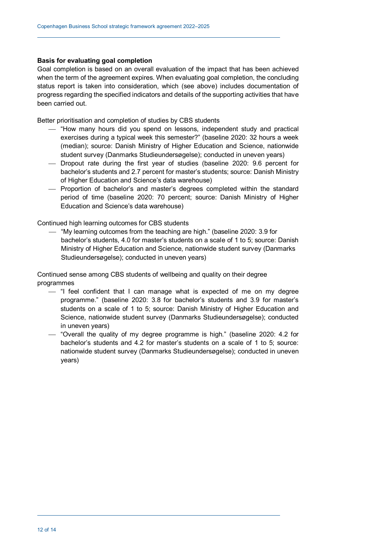Goal completion is based on an overall evaluation of the impact that has been achieved when the term of the agreement expires. When evaluating goal completion, the concluding status report is taken into consideration, which (see above) includes documentation of progress regarding the specified indicators and details of the supporting activities that have been carried out.

Better prioritisation and completion of studies by CBS students

- "How many hours did you spend on lessons, independent study and practical exercises during a typical week this semester?" (baseline 2020: 32 hours a week (median); source: Danish Ministry of Higher Education and Science, nationwide student survey (Danmarks Studieundersøgelse); conducted in uneven years)
- Dropout rate during the first year of studies (baseline 2020: 9.6 percent for bachelor's students and 2.7 percent for master's students; source: Danish Ministry of Higher Education and Science's data warehouse)
- Proportion of bachelor's and master's degrees completed within the standard period of time (baseline 2020: 70 percent; source: Danish Ministry of Higher Education and Science's data warehouse)

Continued high learning outcomes for CBS students

 "My learning outcomes from the teaching are high." (baseline 2020: 3.9 for bachelor's students, 4.0 for master's students on a scale of 1 to 5; source: Danish Ministry of Higher Education and Science, nationwide student survey (Danmarks Studieundersøgelse); conducted in uneven years)

Continued sense among CBS students of wellbeing and quality on their degree programmes

- $-$  "I feel confident that I can manage what is expected of me on my degree programme." (baseline 2020: 3.8 for bachelor's students and 3.9 for master's students on a scale of 1 to 5; source: Danish Ministry of Higher Education and Science, nationwide student survey (Danmarks Studieundersøgelse); conducted in uneven years)
- "Overall the quality of my degree programme is high." (baseline 2020: 4.2 for bachelor's students and 4.2 for master's students on a scale of 1 to 5; source: nationwide student survey (Danmarks Studieundersøgelse); conducted in uneven years)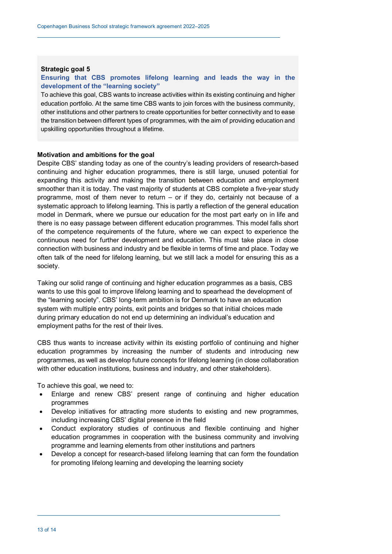# **Ensuring that CBS promotes lifelong learning and leads the way in the development of the "learning society"**

To achieve this goal, CBS wants to increase activities within its existing continuing and higher education portfolio. At the same time CBS wants to join forces with the business community, other institutions and other partners to create opportunities for better connectivity and to ease the transition between different types of programmes, with the aim of providing education and upskilling opportunities throughout a lifetime.

#### **Motivation and ambitions for the goal**

Despite CBS' standing today as one of the country's leading providers of research-based continuing and higher education programmes, there is still large, unused potential for expanding this activity and making the transition between education and employment smoother than it is today. The vast majority of students at CBS complete a five-year study programme, most of them never to return – or if they do, certainly not because of a systematic approach to lifelong learning. This is partly a reflection of the general education model in Denmark, where we pursue our education for the most part early on in life and there is no easy passage between different education programmes. This model falls short of the competence requirements of the future, where we can expect to experience the continuous need for further development and education. This must take place in close connection with business and industry and be flexible in terms of time and place. Today we often talk of the need for lifelong learning, but we still lack a model for ensuring this as a society.

Taking our solid range of continuing and higher education programmes as a basis, CBS wants to use this goal to improve lifelong learning and to spearhead the development of the "learning society". CBS' long-term ambition is for Denmark to have an education system with multiple entry points, exit points and bridges so that initial choices made during primary education do not end up determining an individual's education and employment paths for the rest of their lives.

CBS thus wants to increase activity within its existing portfolio of continuing and higher education programmes by increasing the number of students and introducing new programmes, as well as develop future concepts for lifelong learning (in close collaboration with other education institutions, business and industry, and other stakeholders).

- Enlarge and renew CBS' present range of continuing and higher education programmes
- Develop initiatives for attracting more students to existing and new programmes, including increasing CBS' digital presence in the field
- Conduct exploratory studies of continuous and flexible continuing and higher education programmes in cooperation with the business community and involving programme and learning elements from other institutions and partners
- Develop a concept for research-based lifelong learning that can form the foundation for promoting lifelong learning and developing the learning society